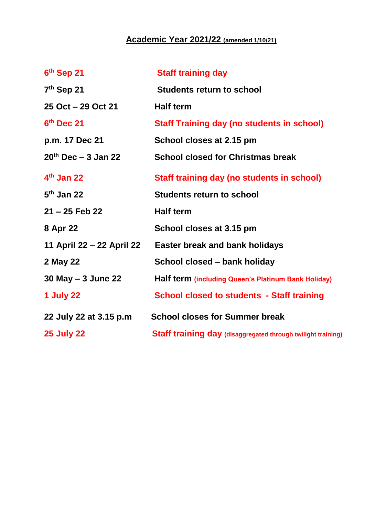## **Academic Year 2021/22 (amended 1/10/21)**

| 6th Sep 21                | <b>Staff training day</b>                                    |
|---------------------------|--------------------------------------------------------------|
| 7 <sup>th</sup> Sep 21    | <b>Students return to school</b>                             |
| 25 Oct - 29 Oct 21        | <b>Half term</b>                                             |
| 6th Dec 21                | <b>Staff Training day (no students in school)</b>            |
| p.m. 17 Dec 21            | School closes at 2.15 pm                                     |
| $20^{th}$ Dec - 3 Jan 22  | <b>School closed for Christmas break</b>                     |
| $4th$ Jan 22              | Staff training day (no students in school)                   |
| $5th$ Jan 22              | <b>Students return to school</b>                             |
| $21 - 25$ Feb 22          | <b>Half term</b>                                             |
| 8 Apr 22                  | School closes at 3.15 pm                                     |
| 11 April 22 – 22 April 22 | <b>Easter break and bank holidays</b>                        |
| 2 May 22                  | School closed – bank holiday                                 |
| 30 May - 3 June 22        | Half term (including Queen's Platinum Bank Holiday)          |
| <b>1 July 22</b>          | <b>School closed to students - Staff training</b>            |
| 22 July 22 at 3.15 p.m    | <b>School closes for Summer break</b>                        |
| <b>25 July 22</b>         | Staff training day (disaggregated through twilight training) |